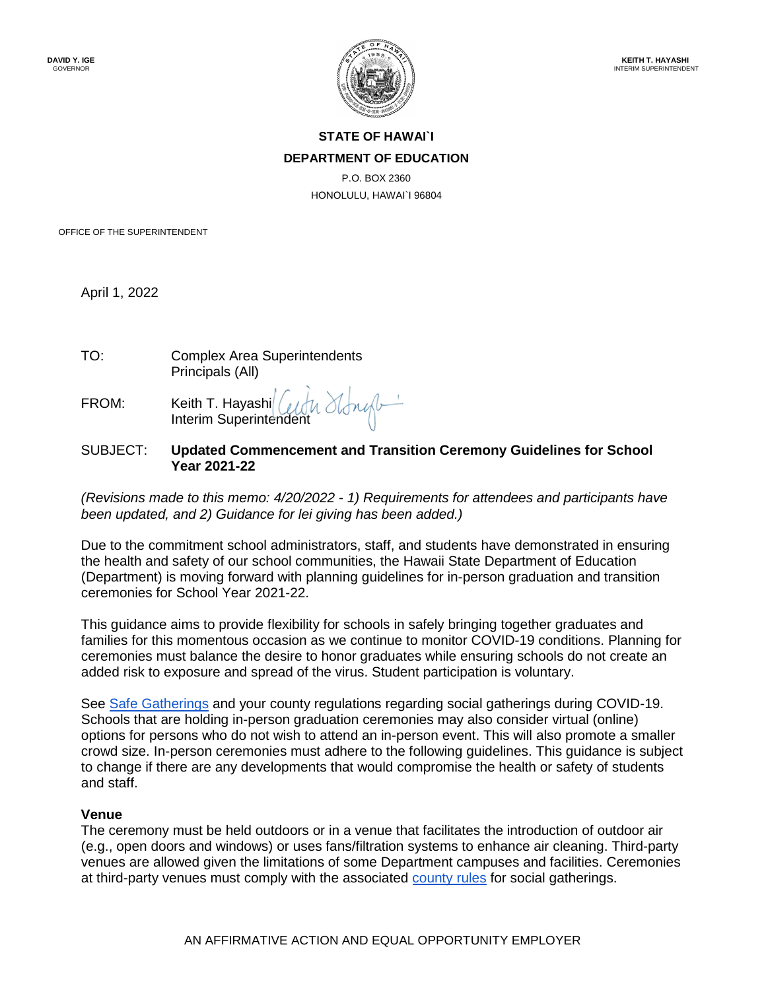

# **STATE OF HAWAI`I DEPARTMENT OF EDUCATION**

P.O. BOX 2360 HONOLULU, HAWAI`I 96804

OFFICE OF THE SUPERINTENDENT

April 1, 2022

| TO: | <b>Complex Area Superintendents</b> |
|-----|-------------------------------------|
|     | Principals (All)                    |

FROM: Keith T. Hayashi Interim Superintendent

## SUBJECT: **Updated Commencement and Transition Ceremony Guidelines for School Year 2021-22**

*(Revisions made to this memo: 4/20/2022 - 1) Requirements for attendees and participants have been updated, and 2) Guidance for lei giving has been added.)*

Due to the commitment school administrators, staff, and students have demonstrated in ensuring the health and safety of our school communities, the Hawaii State Department of Education (Department) is moving forward with planning guidelines for in-person graduation and transition ceremonies for School Year 2021-22.

This guidance aims to provide flexibility for schools in safely bringing together graduates and families for this momentous occasion as we continue to monitor COVID-19 conditions. Planning for ceremonies must balance the desire to honor graduates while ensuring schools do not create an added risk to exposure and spread of the virus. Student participation is voluntary.

See Safe Gatherings and your county regulations regarding social gatherings during COVID-19. Schools that are holding in-person graduation ceremonies may also consider virtual (online) options for persons who do not wish to attend an in-person event. This will also promote a smaller crowd size. In-person ceremonies must adhere to the following guidelines. This guidance is subject to change if there are any developments that would compromise the health or safety of students and staff.

#### **Venue**

The ceremony must be held outdoors or in a venue that facilitates the introduction of outdoor air (e.g., open doors and windows) or uses fans/filtration systems to enhance air cleaning. Third-party venues are allowed given the limitations of some Department campuses and facilities. Ceremonies at third-party venues must comply with the associated county rules for social gatherings.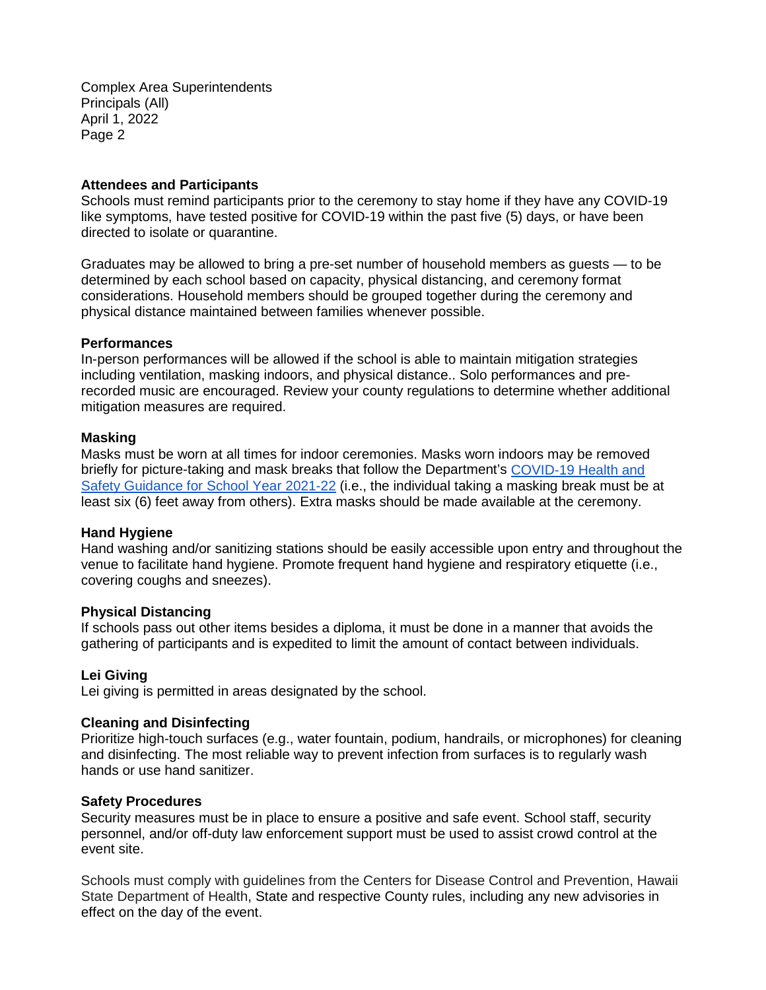Complex Area Superintendents Principals (All) April 1, 2022 Page 2

#### **Attendees and Participants**

Schools must remind participants prior to the ceremony to stay home if they have any COVID-19 like symptoms, have tested positive for COVID-19 within the past five (5) days, or have been directed to isolate or quarantine.

Graduates may be allowed to bring a pre-set number of household members as guests — to be determined by each school based on capacity, physical distancing, and ceremony format considerations. Household members should be grouped together during the ceremony and physical distance maintained between families whenever possible.

## **Performances**

In-person performances will be allowed if the school is able to maintain mitigation strategies including ventilation, masking indoors, and physical distance.. Solo performances and prerecorded music are encouraged. Review your county regulations to determine whether additional mitigation measures are required.

#### **Masking**

Masks must be worn at all times for indoor ceremonies. Masks worn indoors may be removed briefly for picture-taking and mask breaks that follow the Department's COVID-19 Health and Safety Guidance for School Year 2021-22 (i.e., the individual taking a masking break must be at least six (6) feet away from others). Extra masks should be made available at the ceremony.

#### **Hand Hygiene**

Hand washing and/or sanitizing stations should be easily accessible upon entry and throughout the venue to facilitate hand hygiene. Promote frequent hand hygiene and respiratory etiquette (i.e., covering coughs and sneezes).

# **Physical Distancing**

If schools pass out other items besides a diploma, it must be done in a manner that avoids the gathering of participants and is expedited to limit the amount of contact between individuals.

# **Lei Giving**

Lei giving is permitted in areas designated by the school.

#### **Cleaning and Disinfecting**

Prioritize high-touch surfaces (e.g., water fountain, podium, handrails, or microphones) for cleaning and disinfecting. The most reliable way to prevent infection from surfaces is to regularly wash hands or use hand sanitizer.

#### **Safety Procedures**

Security measures must be in place to ensure a positive and safe event. School staff, security personnel, and/or off-duty law enforcement support must be used to assist crowd control at the event site.

Schools must comply with guidelines from the Centers for Disease Control and Prevention, Hawaii State Department of Health, State and respective County rules, including any new advisories in effect on the day of the event.